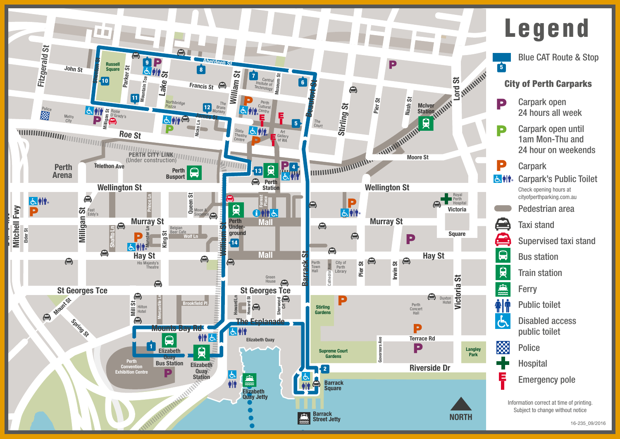